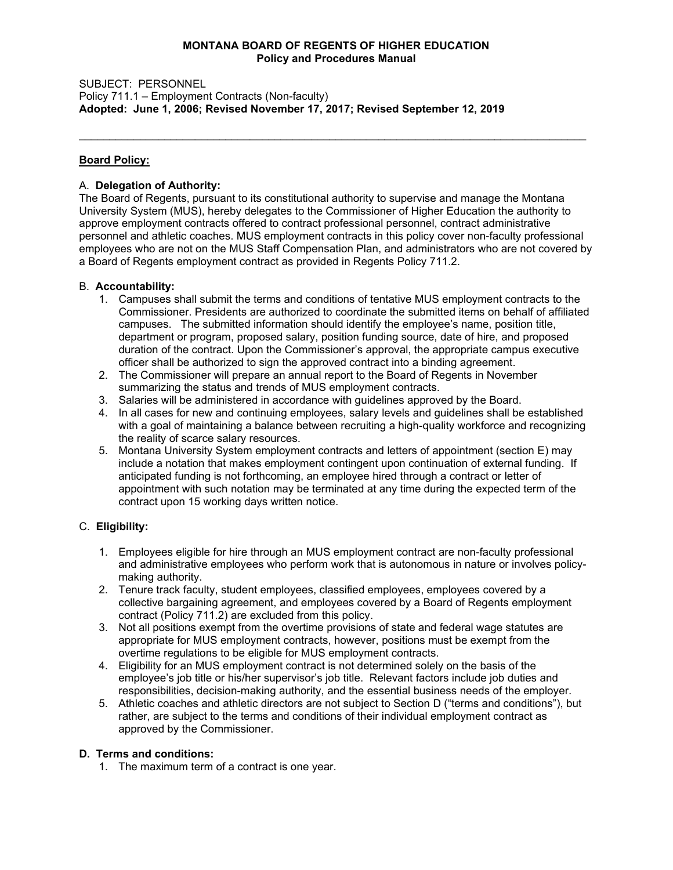#### **MONTANA BOARD OF REGENTS OF HIGHER EDUCATION Policy and Procedures Manual**

\_\_\_\_\_\_\_\_\_\_\_\_\_\_\_\_\_\_\_\_\_\_\_\_\_\_\_\_\_\_\_\_\_\_\_\_\_\_\_\_\_\_\_\_\_\_\_\_\_\_\_\_\_\_\_\_\_\_\_\_\_\_\_\_\_\_\_\_\_\_\_\_\_\_\_\_\_\_\_\_\_\_\_

SUBJECT: PERSONNEL Policy 711.1 – Employment Contracts (Non-faculty) **Adopted: June 1, 2006; Revised November 17, 2017; Revised September 12, 2019** 

## **Board Policy:**

### A. **Delegation of Authority:**

The Board of Regents, pursuant to its constitutional authority to supervise and manage the Montana University System (MUS), hereby delegates to the Commissioner of Higher Education the authority to approve employment contracts offered to contract professional personnel, contract administrative personnel and athletic coaches. MUS employment contracts in this policy cover non-faculty professional employees who are not on the MUS Staff Compensation Plan, and administrators who are not covered by a Board of Regents employment contract as provided in Regents Policy 711.2.

### B. **Accountability:**

- 1. Campuses shall submit the terms and conditions of tentative MUS employment contracts to the Commissioner. Presidents are authorized to coordinate the submitted items on behalf of affiliated campuses. The submitted information should identify the employee's name, position title, department or program, proposed salary, position funding source, date of hire, and proposed duration of the contract. Upon the Commissioner's approval, the appropriate campus executive officer shall be authorized to sign the approved contract into a binding agreement.
- 2. The Commissioner will prepare an annual report to the Board of Regents in November summarizing the status and trends of MUS employment contracts.
- 3. Salaries will be administered in accordance with guidelines approved by the Board.
- 4. In all cases for new and continuing employees, salary levels and guidelines shall be established with a goal of maintaining a balance between recruiting a high-quality workforce and recognizing the reality of scarce salary resources.
- 5. Montana University System employment contracts and letters of appointment (section E) may include a notation that makes employment contingent upon continuation of external funding. If anticipated funding is not forthcoming, an employee hired through a contract or letter of appointment with such notation may be terminated at any time during the expected term of the contract upon 15 working days written notice.

# C. **Eligibility:**

- 1. Employees eligible for hire through an MUS employment contract are non-faculty professional and administrative employees who perform work that is autonomous in nature or involves policymaking authority.
- 2. Tenure track faculty, student employees, classified employees, employees covered by a collective bargaining agreement, and employees covered by a Board of Regents employment contract (Policy 711.2) are excluded from this policy.
- 3. Not all positions exempt from the overtime provisions of state and federal wage statutes are appropriate for MUS employment contracts, however, positions must be exempt from the overtime regulations to be eligible for MUS employment contracts.
- 4. Eligibility for an MUS employment contract is not determined solely on the basis of the employee's job title or his/her supervisor's job title. Relevant factors include job duties and responsibilities, decision-making authority, and the essential business needs of the employer.
- 5. Athletic coaches and athletic directors are not subject to Section D ("terms and conditions"), but rather, are subject to the terms and conditions of their individual employment contract as approved by the Commissioner.

#### **D. Terms and conditions:**

1. The maximum term of a contract is one year.